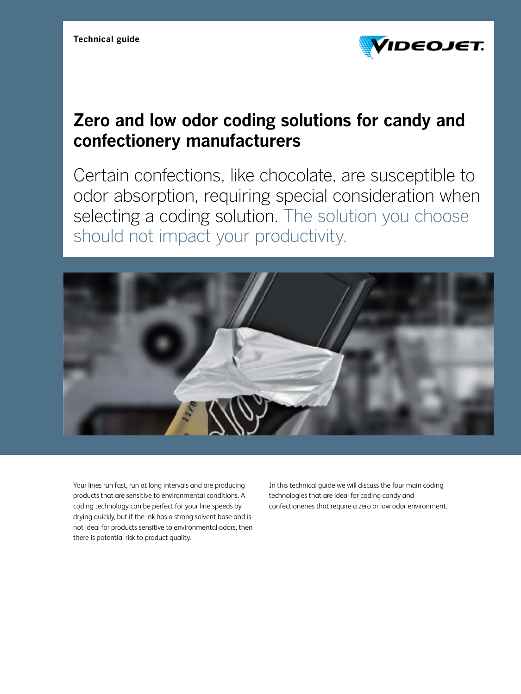

#### **Zero and low odor coding solutions for candy and confectionery manufacturers**

Certain confections, like chocolate, are susceptible to odor absorption, requiring special consideration when selecting a coding solution. The solution you choose should not impact your productivity.



Your lines run fast, run at long intervals and are producing products that are sensitive to environmental conditions. A coding technology can be perfect for your line speeds by drying quickly, but if the ink has a strong solvent base and is not ideal for products sensitive to environmental odors, then there is potential risk to product quality.

In this technical guide we will discuss the four main coding technologies that are ideal for coding candy and confectioneries that require a zero or low odor environment.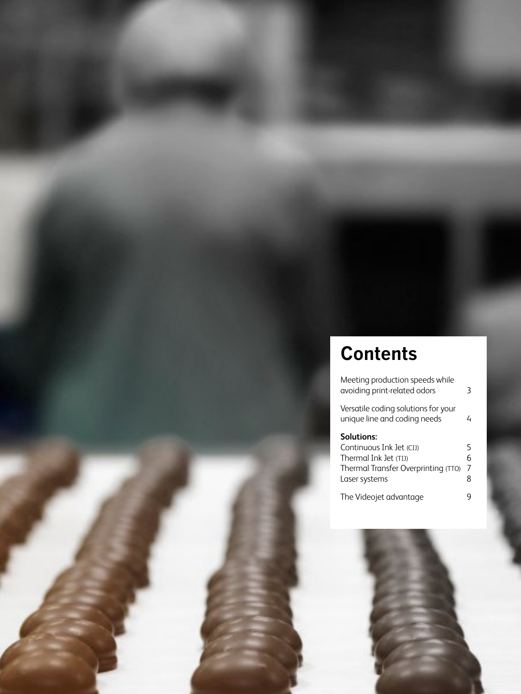## **Contents**

| Meeting production speeds while<br>avoiding print-related odors                                                                | 3                |
|--------------------------------------------------------------------------------------------------------------------------------|------------------|
| Versatile coding solutions for your<br>unique line and coding needs                                                            | 4                |
| <b>Solutions:</b><br>Continuous Ink Jet (CIJ)<br>(Thermal Ink Jet (TIJ<br>Thermal Transfer Overprinting (TTO)<br>Laser systems | 5<br>6<br>7<br>8 |
| The Videojet advantage                                                                                                         |                  |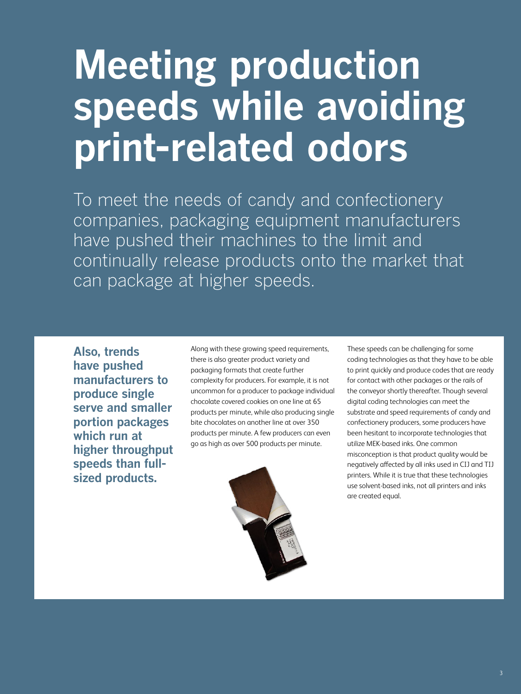# **Meeting production speeds while avoiding print-related odors**

To meet the needs of candy and confectionery companies, packaging equipment manufacturers have pushed their machines to the limit and continually release products onto the market that can package at higher speeds.

**Also, trends have pushed manufacturers to produce single serve and smaller portion packages which run at higher throughput speeds than fullsized products.**

Along with these growing speed requirements, there is also greater product variety and packaging formats that create further complexity for producers. For example, it is not uncommon for a producer to package individual chocolate covered cookies on one line at 65 products per minute, while also producing single bite chocolates on another line at over 350 products per minute. A few producers can even go as high as over 500 products per minute.



These speeds can be challenging for some coding technologies as that they have to be able to print quickly and produce codes that are ready for contact with other packages or the rails of the conveyor shortly thereafter. Though several digital coding technologies can meet the substrate and speed requirements of candy and confectionery producers, some producers have been hesitant to incorporate technologies that utilize MEK-based inks. One common misconception is that product quality would be negatively affected by all inks used in CIJ and TIJ printers. While it is true that these technologies use solvent-based inks, not all printers and inks are created equal.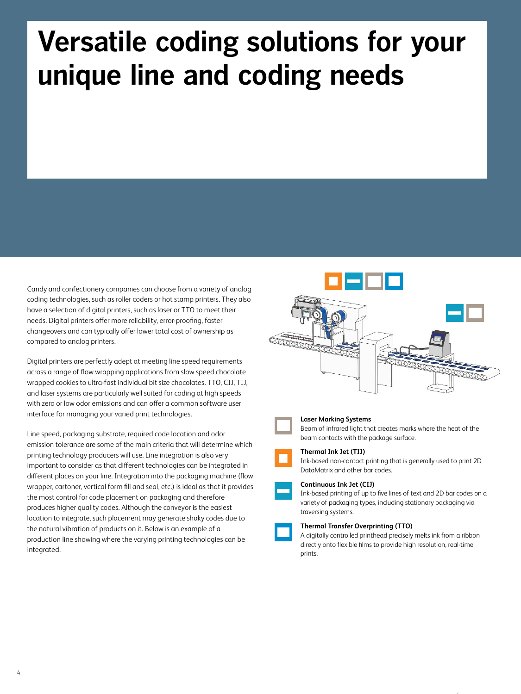## **Versatile coding solutions for your unique line and coding needs**

Candy and confectionery companies can choose from a variety of analog coding technologies, such as roller coders or hot stamp printers. They also have a selection of digital printers, such as laser or TTO to meet their needs. Digital printers offer more reliability, error-proofing, faster changeovers and can typically offer lower total cost of ownership as compared to analog printers.

Digital printers are perfectly adept at meeting line speed requirements across a range of flow wrapping applications from slow speed chocolate wrapped cookies to ultra-fast individual bit size chocolates. TTO, CIJ, TIJ, and laser systems are particularly well suited for coding at high speeds with zero or low odor emissions and can offer a common software user interface for managing your varied print technologies.

Line speed, packaging substrate, required code location and odor emission tolerance are some of the main criteria that will determine which printing technology producers will use. Line integration is also very important to consider as that different technologies can be integrated in different places on your line. Integration into the packaging machine (flow wrapper, cartoner, vertical form fill and seal, etc.) is ideal as that it provides the most control for code placement on packaging and therefore produces higher quality codes. Although the conveyor is the easiest location to integrate, such placement may generate shaky codes due to the natural vibration of products on it. Below is an example of a production line showing where the varying printing technologies can be integrated.





#### **Laser Marking Systems**

Beam of infrared light that creates marks where the heat of the beam contacts with the package surface.

#### **Thermal Ink Jet (TIJ)**

Ink-based non-contact printing that is generally used to print 2D DataMatrix and other bar codes.

#### **Continuous Ink Jet (CIJ)**

Ink-based printing of up to five lines of text and 2D bar codes on a variety of packaging types, including stationary packaging via traversing systems.

4

#### **Thermal Transfer Overprinting (TTO)**

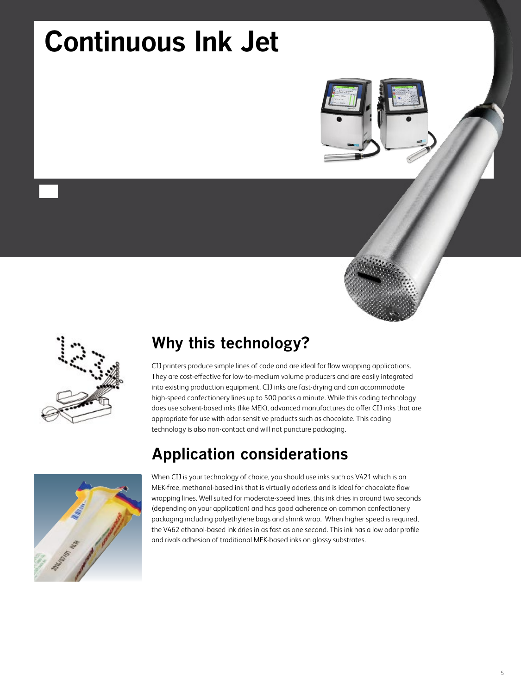## **Continuous Ink Jet**





#### **Why this technology?**

CIJ printers produce simple lines of code and are ideal for flow wrapping applications. They are cost-effective for low-to-medium volume producers and are easily integrated into existing production equipment. CIJ inks are fast-drying and can accommodate high-speed confectionery lines up to 500 packs a minute. While this coding technology does use solvent-based inks (like MEK), advanced manufactures do offer CIJ inks that are appropriate for use with odor-sensitive products such as chocolate. This coding technology is also non-contact and will not puncture packaging.

#### **Application considerations**



When CIJ is your technology of choice, you should use inks such as V421 which is an MEK-free, methanol-based ink that is virtually odorless and is ideal for chocolate flow wrapping lines. Well suited for moderate-speed lines, this ink dries in around two seconds (depending on your application) and has good adherence on common confectionery packaging including polyethylene bags and shrink wrap. When higher speed is required, the V462 ethanol-based ink dries in as fast as one second. This ink has a low odor profile and rivals adhesion of traditional MEK-based inks on glossy substrates.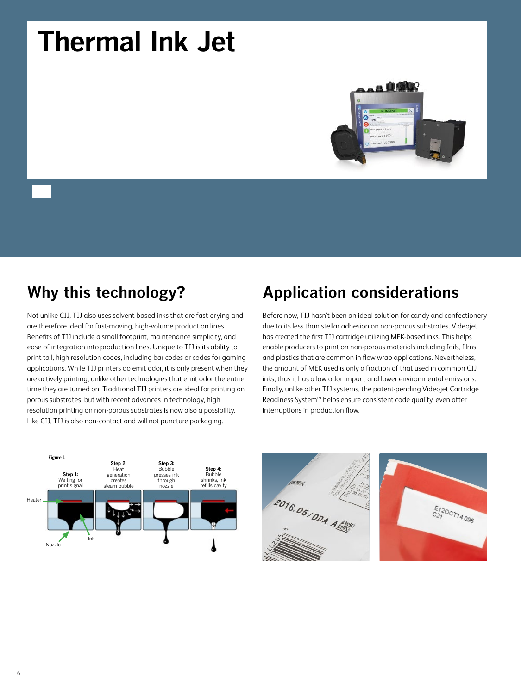## **Thermal Ink Jet**



### **Why this technology?**

Not unlike CIJ, TIJ also uses solvent-based inks that are fast-drying and are therefore ideal for fast-moving, high-volume production lines. Benefits of TIJ include a small footprint, maintenance simplicity, and ease of integration into production lines. Unique to TIJ is its ability to print tall, high resolution codes, including bar codes or codes for gaming applications. While TIJ printers do emit odor, it is only present when they are actively printing, unlike other technologies that emit odor the entire time they are turned on. Traditional TIJ printers are ideal for printing on porous substrates, but with recent advances in technology, high resolution printing on non-porous substrates is now also a possibility. Like CIJ, TIJ is also non-contact and will not puncture packaging.

#### **Application considerations**

Before now, TIJ hasn't been an ideal solution for candy and confectionery due to its less than stellar adhesion on non-porous substrates. Videojet has created the first TIJ cartridge utilizing MEK-based inks. This helps enable producers to print on non-porous materials including foils, films and plastics that are common in flow wrap applications. Nevertheless, the amount of MEK used is only a fraction of that used in common CIJ inks, thus it has a low odor impact and lower environmental emissions. Finally, unlike other TIJ systems, the patent-pending Videojet Cartridge Readiness System™ helps ensure consistent code quality, even after interruptions in production flow.





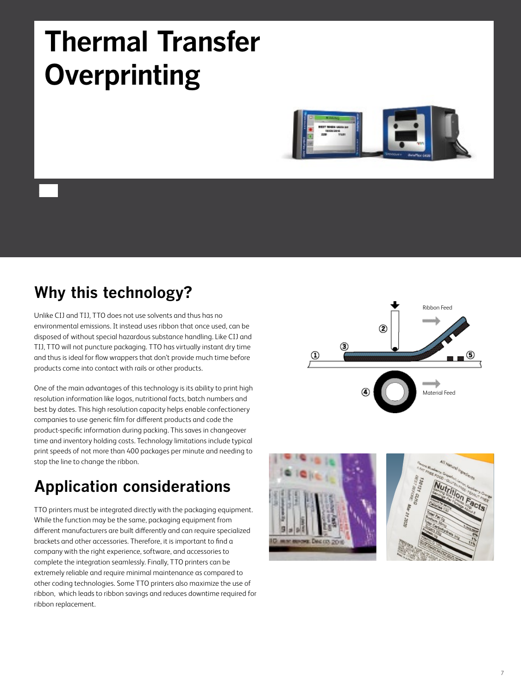## **Thermal Transfer Overprinting**



### **Why this technology?**

Unlike CIJ and TIJ, TTO does not use solvents and thus has no environmental emissions. It instead uses ribbon that once used, can be disposed of without special hazardous substance handling. Like CIJ and TIJ, TTO will not puncture packaging. TTO has virtually instant dry time and thus is ideal for flow wrappers that don't provide much time before products come into contact with rails or other products.

One of the main advantages of this technology is its ability to print high resolution information like logos, nutritional facts, batch numbers and best by dates. This high resolution capacity helps enable confectionery companies to use generic film for different products and code the product-specific information during packing. This saves in changeover time and inventory holding costs. Technology limitations include typical print speeds of not more than 400 packages per minute and needing to stop the line to change the ribbon.

### **Application considerations**

TTO printers must be integrated directly with the packaging equipment. While the function may be the same, packaging equipment from different manufacturers are built differently and can require specialized brackets and other accessories. Therefore, it is important to find a company with the right experience, software, and accessories to complete the integration seamlessly. Finally, TTO printers can be extremely reliable and require minimal maintenance as compared to other coding technologies. Some TTO printers also maximize the use of ribbon, which leads to ribbon savings and reduces downtime required for ribbon replacement.





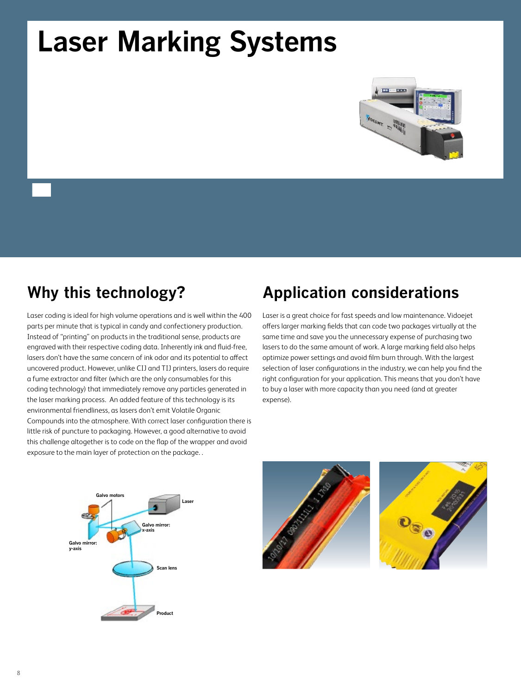## **Laser Marking Systems**



### **Why this technology?**

Laser coding is ideal for high volume operations and is well within the 400 parts per minute that is typical in candy and confectionery production. Instead of "printing" on products in the traditional sense, products are engraved with their respective coding data. Inherently ink and fluid-free, lasers don't have the same concern of ink odor and its potential to affect uncovered product. However, unlike CIJ and TIJ printers, lasers do require a fume extractor and filter (which are the only consumables for this coding technology) that immediately remove any particles generated in the laser marking process. An added feature of this technology is its environmental friendliness, as lasers don't emit Volatile Organic Compounds into the atmosphere. With correct laser configuration there is little risk of puncture to packaging. However, a good alternative to avoid this challenge altogether is to code on the flap of the wrapper and avoid exposure to the main layer of protection on the package. .

#### **Application considerations**

Laser is a great choice for fast speeds and low maintenance. Vidoejet offers larger marking fields that can code two packages virtually at the same time and save you the unnecessary expense of purchasing two lasers to do the same amount of work. A large marking field also helps optimize power settings and avoid film burn through. With the largest selection of laser configurations in the industry, we can help you find the right configuration for your application. This means that you don't have to buy a laser with more capacity than you need (and at greater expense).





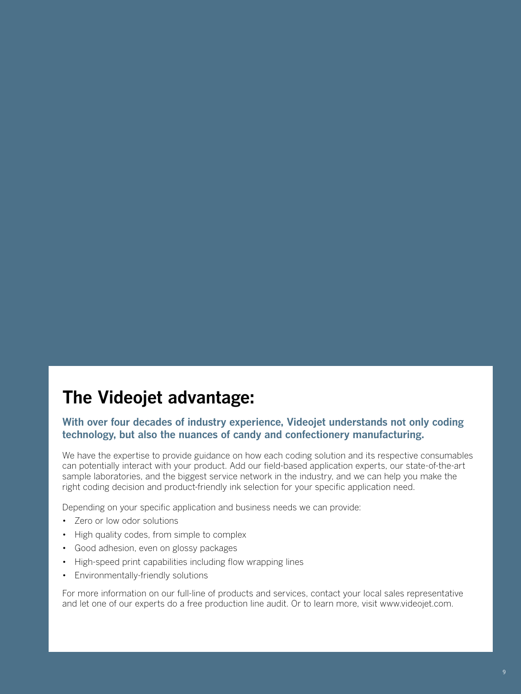### **The Videojet advantage:**

#### **With over four decades of industry experience, Videojet understands not only coding technology, but also the nuances of candy and confectionery manufacturing.**

We have the expertise to provide guidance on how each coding solution and its respective consumables can potentially interact with your product. Add our field-based application experts, our state-of-the-art sample laboratories, and the biggest service network in the industry, and we can help you make the right coding decision and product-friendly ink selection for your specific application need.

Depending on your specific application and business needs we can provide:

- • Zero or low odor solutions
- High quality codes, from simple to complex
- • Good adhesion, even on glossy packages
- High-speed print capabilities including flow wrapping lines
- • Environmentally-friendly solutions

For more information on our full-line of products and services, contact your local sales representative and let one of our experts do a free production line audit. Or to learn more, visit www.videojet.com.